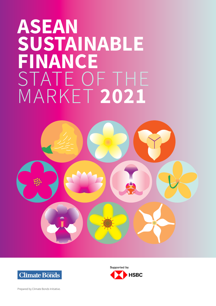# ASEAN SUSTAINABLE FINANCE STATE OF THE MARKET 2021





Supported by **HSBC** 

Prepared by Climate Bonds Initiative.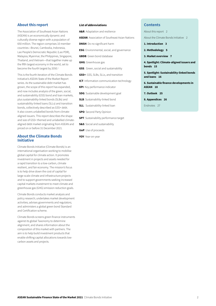#### About this report

The Association of Southeast Asian Nations (ASEAN) is an economically dynamic and culturally diverse region with a population of 650 million. The region comprises 10 member countries—Brunei, Cambodia, Indonesia, Lao People's Democratic Republic (Lao PDR), Malaysia, Myanmar, the Philippines, Singapore, Thailand, and Vietnam—that together make up the fifth largest economy in the world, set to become the fourth largest by 2050.<sup>1</sup>

This is the fourth iteration of the Climate Bonds Initiative's ASEAN State of the Market Report series. As the sustainable debt market has grown, the scope of this report has expanded, and now includes analysis of the green, social, and sustainability (GSS) bond and loan markets, plus sustainability-linked bonds (SLBs) and sustainability-linked loans (SLLs) and transition bonds, collectively described as GSS+ debt. It also covers unlabelled bonds from climatealigned issuers. This report describes the shape and size of GSS+ themed and unlabelled climatealigned debt market originating from ASEAN and priced on or before 31 December 2021.

#### About the Climate Bonds Initiative

Climate Bonds Initiative (Climate Bonds) is an international organisation working to mobilise global capital for climate action. It promotes investment in projects and assets needed for a rapid transition to a low-carbon, climate resilient, and fair economy. The mission's focus is to help drive down the cost of capital for large-scale climate and infrastructure projects and to support governments seeking increased capital markets investment to meet climate and greenhouse gas (GHG) emission reduction goals.

Climate Bonds conducts market analysis and policy research; undertakes market development activities; advises governments and regulators; and administers a global green bond Standard and Certification scheme.

Climate Bonds screens green finance instruments against its global Taxonomy to determine alignment, and shares information about the composition of this market with partners. The aim is to help build investment products that enable shifting capital allocations towards lowcarbon assets and projects.

#### List of abbreviations

A&R: Adaptation and resilience

**ASEAN: Association of Southeast Asian Nations** 

DNSH: Do no significant harm

**ESG**: Environmental, social, and governance

**GBDB:** Green bond database

GHG: Greenhouse gas

**GSS:** Green, social and sustainability

GSS+: GSS, SLBs, SLLs, and transition

ICT: Information communication technology

KPI: Key performance indicator

SDG: Sustainable development goal

**SLB**: Sustainability-linked bond

SLL: Sustainability-linked loan

SPO: Second Party Opinion

**SPT**: Sustainability performance target

S&S: Social and sustainability

UoP: Use of proceeds

YOY: Year-on-year

#### **Contents**

About this report 2

About the Climate Bonds Initiative 2

- 1. Introduction 3
- 2. Methodology 5

3. Market overview 7

4. Spotlight: Climate-aligned issuers and bonds 15

5. Spotlight: Sustainability-linked bonds and loans 16

6. Sustainable finance developments in ASEAN 18

7. Outlook 25

8. Appendices 26

Endnotes 27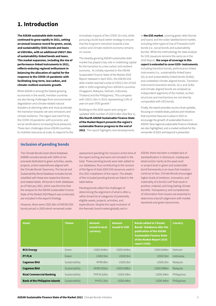### 1. Introduction

The ASEAN sustainable debt market continued to grow rapidly in 2021, setting an annual issuance record for green, social, and sustainability (GSS) bonds and loans at USD24bn, with an additional USD27.5bn of sustainability-linked bonds and loans. This market expansion, including the rise of performance-linked instruments in 2021, reflects enduring regional enthusiasm in balancing the allocation of capital for the response to the COVID-19 pandemic with facilitating long-term, low carbon, and climate-resilient economic growth.

While ASEAN is among the fastest growing economies in the world, member countries are also facing challenges from environmental degradation and climate-related natural disasters at alarming rates and must accelerate the transition towards net-zero emissions and climate resilience. The region was hard hit by the COVID-19 pandemic with economic and social ramifications increasing fiscal pressures. These twin challenges drove ASEAN countries to mobilise resources at scale, to respond to the

immediate impacts of the COVID-19 crisis, while pursuing a build-back-better strategy to ensure that the long-term transition towards a low carbon and climate-resilient economy remains on course.

The steadily growing ASEAN sustainable debt market has played a key role in mobilising capital for the transition to a low carbon and resilient economy. As initially reported in the ASEAN Sustainable Finance State of the Market 2020 Report released in April 2021, the ASEAN GSS debt market reached a total of USD12.1bn of GSS debt in 2020 originating from ASEAN-6 countries (Singapore, Malaysia, Vietnam, Indonesia, Thailand and the Philippines). This compares with USD11.5bn in 2019, representing 5.2% of year-on-year (YOY) growth.<sup>2</sup>

Building on the 2020 report and using an updated 2020 number of USD13.6bn (See Box 1), this fourth ASEAN Sustainable Finance State of the Market Report presents the region's sustainable finance progress to the end of 2021. This report highlights new developments

in the GSS market, covering green debt (bonds and loans) and the wider labelled bond market, including other types of Use of Proceeds (UoP) bonds (i.e., social bonds and sustainability bonds). While the methodology for data analysis for GSS issuances remains the same as in the 2020 Report, the scope of coverage in this report is extended to cover GSS+ instruments, including transition bonds, performance-linked instruments (i.e., sustainability-linked loans (SLLs) and sustainability-linked bonds (SLBs)), and unlabelled climate-aligned bonds. Transition instruments (transition bonds, SLLs and SLBs) and climate-aligned bonds are analysed as independent segments of the market, as their structures and mechanisms are not directly comparable with GSS bonds.

Finally, the report provides country-level updates, focusing on notable deals, policies and initiatives that countries have put in place in 2021 to encourage the growth of sustainable finance in ASEAN. New regional sustainable finance initiatives are also highlighted, and a market outlook for the remainder of 2022 and beyond is presented.

#### Inclusion of pending bonds

The Climate Bonds Green Bond Database (GBDB) includes bonds with 100% of net proceeds dedicated to green activities, assets, projects, and/or expenditures aligned with the Climate Bonds Taxonomy. The Social and Sustainability Bond Database includes bonds classified with these two respective themes and related labels. All bonds in both databases as of February 2021, which was the time that the analysis for the ASEAN Sustainable Finance State of the Market 2020 Report was conducted, are included in this report's findings.

However, there were USD1.6bn of ASEAN GSS bonds priced in 2020 which remained under

assessment (pending) for inclusion at the time of the report writing and were not included in the total. These pending bonds were later added to our databases, thus contributing to the revision of the figure of total 2020 GSS issuances used in this 2021 installation of the report. The details of the included pending bonds are listed in the table below.

Pending bonds reflect the challenges of determining the alignment of what is often a rather broad list of categories of potentially eligible assets, projects, activities, and expenditures. Despite the rapid evolution of the thematic bond market globally and in

ASEAN, there has been a notable lack of standardisation in disclosure. Inadequate detail and/or clarity at the asset and/ or project level in green and sustainable bond frameworks is an issue that investors continue to face. Climate Bonds encourages higher levels of ambition, innovation, and materiality of a bond's UoP that result in positive, material, and long-lasting climate benefits. Transparency and completeness of information from issuers are essential to determine a bond's alignment with market standards and green taxonomies.

| <b>Issuer</b>                         | <b>Theme</b>   | <b>Amount</b><br>issued in local<br>currency | <b>Amount</b><br>issued in USD | <b>Bonds added to Climate</b><br><b>Bonds' Databases after the</b><br>publication of the ASEAN<br><b>Sustainable Finance State</b><br>of the Market Report 2020<br>report (USD) | <b>Country</b> |
|---------------------------------------|----------------|----------------------------------------------|--------------------------------|---------------------------------------------------------------------------------------------------------------------------------------------------------------------------------|----------------|
| <b>BCG Energy</b>                     | Green          | USD0.044bn                                   | USD0.044bn                     | USD <sub>0.044</sub> bn                                                                                                                                                         | Vietnam        |
| <b>PT PLN</b>                         | Green          | USD <sub>0.5bn</sub>                         | USD <sub>0.5bn</sub>           | USD <sub>0.5bn</sub>                                                                                                                                                            | Indonesia      |
| <b>Cagamas Bhd</b>                    | Sustainability | MYR0.8bn                                     | USD <sub>0.2bn</sub>           | $USD0.2$ bn                                                                                                                                                                     | Malaysia       |
| <b>Cagamas Bhd</b>                    | Sustainability | MYR0.035bn                                   | USD0.008bn                     | USD0.008bn                                                                                                                                                                      | Malaysia       |
| <b>Rizal Commercial Banking</b>       | Sustainability | PHP16.62bn                                   | USD <sub>0.34</sub> bn         | USD0.34bn                                                                                                                                                                       | Philippines    |
| <b>Bank of the Philippine Islands</b> | Sustainability | PHP21.5bn                                    | USD <sub>0.44</sub> bn         | USD0.44bn                                                                                                                                                                       | Philippines    |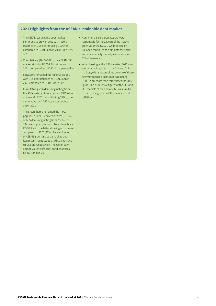#### 2021 Highlights from the ASEAN sustainable debt market

- The ASEAN sustainable debt market continued to grow in 2021 with record issuance of GSS debt totaling USD24bn compared to USD13.6bn in 2020, up 76.5% YOY.
- Cumulatively (2016--2021), the ASEAN GSS market stood at USD54.5bn at the end of 2021, compared to USD30.4bn a year earlier.
- Singapore remained the regional leader, with GSS debt issuance of USD13.6bn in 2021 compared to USD4.9bn in 2020.
- Cumulative green deals originating from the ASEAN-6 countries stood at USD39.4bn at the end of 2021, contributing 72% to the cumulative total GSS issuances between 2016--2021.
- The green theme remained the most popular in 2021. Nearly two thirds (63.9%) of GSS deals originating from ASEAN in 2021 were green, followed by sustainability (35.5%), with the latter showing an increase compared to 2020 (26%). Total volumes of ASEAN green and sustainability debt issuances in 2021 stood at USD15.4bn and USD8.5bn, respectively. The region saw a small volume of social bond issuances (USD0.13bn) in 2021.
- Non-financial corporate issuers were responsible for most (79%) of the ASEAN green volumes in 2021, while sovereign issuance continued to dominate the social and sustainability market, responsible for 51% of issuances.
- When looking at the GSS+ market, 2021 also saw very rapid growth in the SLL and SLB markets, with the combined volume of these newly introduced instruments reaching USD27.5bn, more than three times the 2020 figure. The cumulative figure for the SLL and SLB markets at the end of 2021 was similar to that of the green UoP theme at around USD39bn.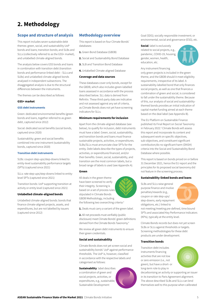### 2. Methodology

#### Scope and structure of analysis

This report includes seven sustainable debt themes: green, social, and sustainability UoP bonds and loans; transition bonds; and SLBs and SLLs (collectively referred to as the GSS+ market), and unlabelled climate-aligned bonds.

The analysis below covers GSS bonds and loans in combination with transition debt (transition bonds and performance-linked debt – SLLs and SLBs) and unlabelled climate-aligned bonds analysed in independent subsections. The disaggregated analysis is due to the structural differences between the instruments.

The themes can be described as follows:

#### GSS+ market

#### GSS debt instruments

Green: dedicated environmental benefits (green bonds and loans, together referred to as green debt, captured since 2012)

Social: dedicated social benefits (social bonds, captured since 2020)

Sustainability: green and social benefits combined into one instrument (sustainability bonds, captured since 2020)

#### Transition debt instruments

SLBs: coupon step-ups/step-downs linked to entity-level sustainability performance targets (SPTs) (captured since 2021)

SLLs: rate step-ups/step-downs linked to entitylevel SPTs (captured since 2021)

Transition bonds: UoP supporting transition at activity or entity level (captured since 2021)

#### Unlabelled climate-aligned bonds

Unlabelled climate-aligned bonds: bonds that finance climate-aligned projects, assets, and expenditures, but are not labelled by issuers (captured since 2012)

#### Methodology overview

This report is based on four Climate Bonds' databases:

- 1. Green Bond Database (GBDB)
- 2. Social and Sustainability Bond Database
- **3.** SLB and Transition Bond Database
- 4. Unlabelled Climate-aligned Database

#### Coverage and data sources

These databases cover only bonds, except for the GBDB, which also includes green-labelled loans assessed in accordance with the process described below. SLL data is derived from Refinitiv. These third-party data are indicative and not assessed against any set of criteria, as Climate Bonds does not yet have screening indicators for SLLs.

#### Minimum requirements for inclusion

Apart from the climate-aligned database (see below), to qualify for inclusion, debt instruments must have a label. Green, social, sustainability, and transition bonds and loans must finance sustainable projects, activities, or expenditures. SLBs/SLLs must annunciate clear SPTs for the entity. Debt labels describe the types of projects, activities, or expenditures financed, and/or their benefits. Green, social, sustainability, and transition are the most common labels, but a broad range of labels is used (see Appendix A).

#### Green

All deals in the green theme have been screened to verify their integrity. Screening is based on a set of process rules stipulated in Climate Bonds GBDB Methodology, including the following two overarching criteria:3



1. Deals must carry a variant of the green label.

2. All net proceeds must verifiably (public disclosure) meet Climate Bonds' green definitions derived from the Climate Bonds Taxonomy.<sup>4</sup>

We review all green debt instruments to ensure their green credentials.

#### Social and sustainability

Climate Bonds does not yet screen social and sustainability bonds' UoP against performance thresholds. The UoP is, however, classified in accordance with the respective labels and categorised as follows:

**Sustainability:** label describes a combination of green and social projects, activities, or expenditures, e.g., sustainable; Sustainable Development



Goal (SDG); socially responsible investment; or environmental, social and governance (ESG), etc.

Social: label is exclusively related to social projects, e.g., pandemic, COVID-19, housing, gender, women, health, education, etc.



Any instrument financing

only green projects is included in the green theme, and the GBDB should it meet eligibility requirements, irrespective of its label. A sustainability-labelled bond that only finances social projects, as well as one that finances a combination of green and social, is considered to fall under the sustainability theme. Because of this, our analysis of social and sustainabilitythemed bonds provides an initial indication of capital market funding aimed at each theme based on the deal label (see Appendix B).

The EU Platform on Sustainable Finance published its Final Report on Social Taxonomy in February 2022.<sup>5</sup> Climate Bonds will assess this report and incorporate its content and subsequent work on specific objectives, sub-objectives, and constituent significant contribution/do no significant harm (DNSH) criteria into the Social and Sustainability Bond Database where possible.

This report is based on bonds priced on or before 31 December 2021, hence the EU report and the principles for its proposed social taxonomy did not feature in the screening process.

#### Sustainability-linked bonds and loans

SLBs and SLLs raise general purpose finance and involve penalties/rewards (e.g., coupon or rate step-ups/ step-downs, early repayment obligations, etc.) linked to



not meeting/meeting pre-defined, time bound SPTs and associated Key Performance Indicators (KPIs), typically at the entity level.

Climate Bonds records but does not yet screen SLBs or SLLs against thresholds or targets. Screening methodologies for these debt products are under development.

#### Transition bonds

Transition debt includes instruments financing activities that are not low or zero emission (i.e., not green), but have a short- or long-term role to play in



decarbonising an activity or supporting an issuer in its transition to Paris Agreement alignment. The above described SLBs and SLLs can lend themselves well to this purpose when calibrated

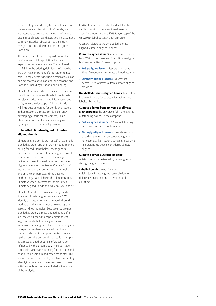appropriately. In addition, the market has seen the emergence of transition UoP bonds, which are intended to enable the inclusion of a more diverse set of sectors and activities. This segment currently includes labels such as transition, energy transition, blue transition, and green transition.

At present, transition bonds predominantly originate from highly polluting, hard and expensive-to-abate industries. These often do not fall into the existing definitions of green but are a critical component of a transition to net zero. Example sectors include extractives such as mining; materials such as steel and cement; and transport, including aviation and shipping.

Climate Bonds records but does not yet screen transition bonds against thresholds or targets. As relevant criteria at both activity (sector) and entity levels are developed, Climate Bonds will introduce screening for bonds and issuers in those sectors. Climate Bonds is currently developing criteria for the Cement, Basic Chemicals, and Steel industries, along with Hydrogen as a cross-industry solution.

#### Unlabelled climate-aligned (climatealigned) bonds

Climate-aligned bonds are not self- or externally labelled as green and their UoP is not earmarked or ring-fenced. Nonetheless, these general purpose bonds finance climate-aligned projects, assets, and expenditures. This financing is defined at the entity level based on the share of green revenues of an issuer. Climate Bonds' research on these issuers covers both public and private companies, and the detailed methodology is available in the Climate Bonds' Climate-Aligned Investment Opportunities: Climate Aligned Bonds and Issuers 2020 Report. 6

Climate Bonds has been researching bonds financing climate-aligned assets since 2012, to identify opportunities in the unlabelled bond market, and drive investments towards green assets and technologies. Because they are not labelled as green, climate-aligned bonds often lack the visibility and transparency inherent in green bonds that typically come with a framework detailing the relevant assets, projects, or expenditures being financed. Identifying these bonds highlights opportunities to scale up the labelled green bond market; for example, as climate-aligned debt rolls off, it could be refinanced with a green label. The green label could achieve cheaper funding for the issuer and enable its inclusion in dedicated mandates. This research also offers an entity level assessment by identifying the share of revenues linked to green activities for bond issuers included in the scope of the analysis.

In 2021 Climate Bonds identified total global capital flows into climate-aligned assets and activities amounting to USD795bn, on top of the USD2.96tn labelled GSS+ debt universe.

Glossary related to the Unlabelled climatealigned (climate-aligned) bonds:

**Climate-aligned issuers:** issuers that derive at least 75% of their revenues from climate-aligned business activities. These comprise:<br>• Fully-aligned issuers: issuers that derive ≥

- 95% of revenue from climate-aligned activities.
- Strongly-aligned issuers: issuers that derive ≥ 75% of revenue from climate-aligned activities.

Unlabelled climate-aligned bonds: bonds that finance climate-aligned activities but are not labelled by the issuer.

Climate-aligned bond universe or climatealigned bonds: the universe of climate-aligned

- outstanding bonds. These comprise:<br>• Fully-aligned issuers: 100% of outstanding debt is considered climate-aligned.
- Strongly-aligned issuers: pro-rata amount based on the issuers' percentage alignment. For example, if an issuer is 80% aligned, 80% of its outstanding debt is considered climatealigned.

#### Climate-aligned outstanding debt:

outstanding volume issued by fully-aligned + strongly-aligned issuers.

Labelled bonds are not included in the unlabelled climate aligned research due to differences in format and to avoid double counting.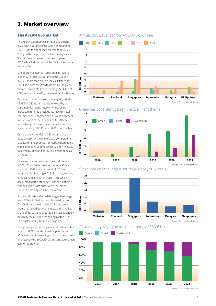### 3. Market overview

#### The ASEAN GSS market

The ASEAN GSS market continued to expand in 2021, with a volume of USD24bn compared to USD13.6bn the prior year, representing 76.5% YOY growth. Singapore, Thailand, Malaysia, and Vietnam saw increased volume compared to 2020, while Indonesia and the Philippines saw a decline YOY.

Singapore maintained its position as regional leader, with total GSS volume of USD13.6bn in 2021, more than double the 2020 figure of USD4.9bn, with the growth driven by the green theme. Thailand followed, adding USD4.4bn of GSS debt dominated by the sustainability theme.

The green theme made up the majority (63.9%) of ASEAN GSS deals in 2021, followed by the sustainability theme (35.5%), whose share increased from the previous year (26%). Total volumes of ASEAN green and sustainability debt in 2021 stood at USD15.4bn and USD8.5bn, respectively. The region saw a small volume of social bonds (USD0.13bn) in 2021 from Thailand.

Cumulatively, the ASEAN GSS volume stood at USD54.5bn at the end of 2021, compared to USD30.4bn the prior year. Singapore dominates, with cumulative volumes of USD25.3bn in 2021, followed by Thailand at USD8.3, and Indonesia at USD8.1bn.

The green theme remained the most popular in 2021. Cumulative green volumes in ASEAN stood at USD39.4bn at the end of 2021, or roughly 72% of the region's GSS market, followed by sustainability debt at USD14.4bn, which accounted for the other 27%. The social theme was negligible, with cumulative volume of USD0.6bn making up 1% of the market.

Social and sustainability debt began to emerge from ASEAN in 2018 and was boosted by the COVID-19 response in 2020. While the green theme remained dominant in 2021, the market share of the sustainability label increased largely driven by the multiple reopenings of the 2020 Thai sustainability bond (See page 22).

The growing volumes of green and sustainability labels in 2021 indicates the dual priorities of ASEAN entities in financing both crisis response and recovery from COVID-19 and long-term green economic growth.

### Annual GSS issuance from ASEAN-6 countries











#### Sustainability is gaining traction among ASEAN 6 issuers

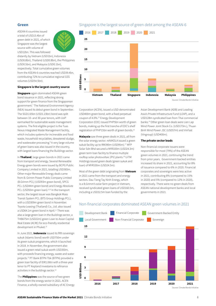#### Green

ASEAN-6 countries issued a total of USD15.4bn of green debt in 2021, of which Singapore was the largest source with volume of USD12bn. This was followed



distantly by Vietnam (USD1bn), Indonesia (USD0.8bn), Thailand (USD0.8bn), the Philippines (USD0.5bn), and Malaysia (USD0.1bn), respectively. Total cumulative green volumes from the ASEAN-6 countries reached USD39.4bn, contributing 72% to cumulative regional GSS volumes (USD54.5bn).

#### Singapore is the largest country source

**Singapore** again dominated ASEAN green bond issuance in 2021, reflecting strong support for green finance from the Singaporean government.7 The National Environment Agency (NEA) issued its debut green bond in September. The SGD1.65bn (USD1.23bn) bond was split between 10- and 30-year tenors, with UoP earmarked for sustainable waste management systems. The first eligible project is the Tuas Nexus Integrated Waste Management facility, which includes systems for incinerable and food waste, household recyclables, dewatered sludge, and wastewater processing.<sup>8</sup> A very large volume of green loans was also issued in the country, with largest loans financing the Buildings sector.

In Thailand, large green bonds in 2021 came from transport and energy. Several Renewable Energy green bonds were issued by BCPG Public Company Limited in 2021, totalling USD365m. Other major Renewable Energy deals came from B. Grimm Power Public Company Limited (B.Grimm PCL) (USD93m green bond), SPCG PCL (USD44m green bond) and Energy Absolute PCL (USD50m green loan).9,10 In the transport sector, the largest issuer was Bangkok Mass Transit System PCL (BTS Group Holdings PCL), with a USD309m green bond in November. Toyota Leasing (Thailand) Co., Ltd. also issued a USD64.1m green bond in April.<sup>11</sup> There was also a large green loan in the Buildings sector, a THB675m (USD22m) green Loan to Asian Capital Real Estate (ACRE) for eco-friendly residential development in Phuket.<sup>12</sup>

In June 2021, **Indonesia** issued its fifth sovereign sukuk (Islamic bond) worth USD750m under its green sukuk programme, which it launched in 2018. In November, the government also issued a green retail sukuk worth USD350m, with proceeds financing energy, waste and water projects.13 PT Bank BTPN Tbk (BTPN) provided a green loan facility of IDR1.06tn with a three-year tenor to PT Kepland Investama to refinance activities in the buildings sector.<sup>14</sup>

The **Philippines** was the source of two green bonds from the energy sector in 2021. ACEN Finance, a wholly-owned subsidiary of AC Energy

#### Singapore is the largest source of green debt among the ASEAN-6



Corporation (ACEN), issued a USD-denominated USD400m green bond, with a fixed perpetual coupon of 4.0%.15 Energy Development Corporation (EDC) issued PHP5bn worth of green bonds, making up the first tranche of EDC's shelf registration of PHP15bn worth of green bonds.16

Malaysia saw three green deals in 2021, all from the solar energy sector. reNIKOLA issued a green sukuk facility up to RM390m (USD95m).<sup>17</sup> MFP Solar Sdn Bhd secured a MYR100m (USD24.3m) green term loan facility to finance multiple rooftop solar photovoltaic (PV) plants.18 UiTM Holdings issued green deals (green sukuk and loan) of MYR100m (USD24.5m).

Most of the green debt originating from Vietnam in 2021 came from the transport and energy sectors. Dau Tieng Tay Ninh Energy, which is a B.Grimm's solar farm project in Vietnam, received syndicated green loans of USD160.5m, including a USD32.5m loan funded by the

Asian Development Bank (ADB) and Leading Asia's Private Infrastructure Fund (LEAP), and a USD128m syndicated loan from Thai commercial banks.19 Other green loan deals were Lien Lap Wind Power Joint Stock Co. (USD173m.), Thuan Binh Wind Power JSC (USD57m) and VinFast (Vingroup) (USD400m).

#### The private sector leads

Non-financial corporate issuers were responsible for most (79%) of the ASEAN green volumes in 2021, continuing the trend from prior years. Government-backed entities increased its share in 2021, accounting for 8% of issuance compared to 6% in 2020. Financial corporates and sovereigns were less active in 2021, contributing 8% (compared to 15% in 2020) and 5% (compared to 12% in 2020), respectively. There were no green deals from ASEAN national development banks and local governments in 2021.

### Non-financial corporates dominated ASEAN green volumes in 2021

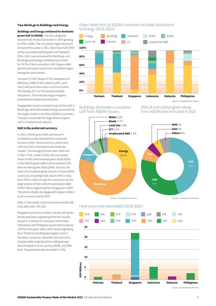#### Two-thirds go to Buildings and Energy

Buildings and Energy continued to dominate green UoP in ASEAN. The two categories

received two-thirds of proceeds in 2019 growing to 79% in 2020. The cumulative regional picture remained the same in 2021. More than half (53%) of the cumulative ASEAN green UoP between 2016--2021 was earmarked for Buildings, and Buildings and Energy combined accounted for 79.5% of the cumulative UoP of green debt (bonds and loans) issued from the ASEAN region during the same period.

Transport (7.5%), Waste (5.7%), Adaptation & Resilience (A&R) (3.3%), Water (2.2%), Land Use (1.8%) and Information Communication Technology (ICT) (0.1%) received smaller allocations. This indicates large untapped potential for market diversification.

Singaporean issuers invested most of their UoP in Buildings, while Renewable Energy accounted for the largest shares in all other ASEAN-6 countries. Transport accounted for large shares of green UoP in Thailand and Vietnam.

#### SGD is the preferred currency

In 2021, ASEAN green debt was issued in multiple local and international currencies similar to 2020. Hard currencies, particularly USD and SGD, continued to dominate the market. Two emerging trends were observed in 2021. First, unlike in 2020, the cumulative share of SGD-denominated green deals (45%) in the ASEAN green debt market outsized USDdenominated green deals (34%). Second, the share of cumulative green volume in local ASEAN currencies (including SGD) rose to 59% in 2021, from 47% in 2020, though this was driven by the large volume of SGD-denominated green debt (USD17.9bn) originating from Singapore in 2021. This demonstrates strong growth of green debt in local currencies, led by SGD.

Note: In this report, hard currencies include USD, EUR, GBP, AUD, JPY, SGD

Singapore proved its market maturity with green bonds and loans originating from the country issued in a variety of currencies. Vietnamese, Indonesian and Philippine issuers tend to favour USD for their green debt, while deals originating from Thailand and Malaysia largely came in domestic currencies. Between 2016 and 2021, all green debt originating from Malaysia was denominated in local currency (MYR), and 98% from Thailand were denominated in THB.

#### Green debt from all ASEAN countries included allocations to Energy (2016-2021)



#### Bulidings dominate cumulative UoP from ASEAN issuers

45% of cumulative green deals from ASEAN denominated in SGD



#### Hard currencies dominated (2016-2021)

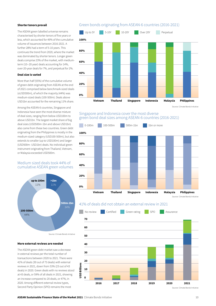#### Shorter tenors prevail

The ASEAN green labelled universe remains characterised by shorter tenors of five years or less, which accounted for 49% of the cumulative volume of issuances between 2016-2021. A further 28% had a term of 5-10 years. This continues the trend from 2020, where the market was dominated by shorter tenors. Longer green deals comprise 23% of the market, with mediumterm (10--20 year) deals accounting for 14%, over-20-year deals for 7%, and perpetual for 2%.

#### Deal size is varied

More than half (55%) of the cumulative volume of green debt originating from ASEAN at the end of 2021 comprised below benchmark-sized deals (≤USD500m), of which the majority (44%) was medium-sized deals (100-500m). Deals above USD1bn accounted for the remaining 11% share.

Among the ASEAN-6 countries, Singapore and Indonesia have seen the most diverse mixture of deal sizes, ranging from below USD100m to above USD1bn. The largest market share of big deal sizes (USD500m-1bn and above USD1bn) also came from these two countries. Green debt originating from the Philippines is mostly in the medium-sized category (USD100-500m), but also extends to smaller (up to USD100m) and larger (USD500m- USD1bn) deals. No individual green instrument originating from Thailand, Vietnam, or Malaysia exceeded USD500m.

#### Medium sized deals took 44% of cumulative ASEAN green volumes



#### More external reviews are needed

The ASEAN green debt market saw a decrease in external reviews per the total number of transactions between 2020 to 2021. There were 41% of deals (30 out of 73 deals) with external reviews in 2021, down from 53% (23 out of 43 deals) in 2020. Green deals with no reviews stood at 43 deals, or 59% of all deals in 2021, showing an increase compared to 20 deals, or 47%, in 2020. Among different external review types, Second Party Opinion (SPO) remains the most

#### Green bonds originating from ASEAN-6 countries (2016-2021)



Source: Climate Bonds Initiative

#### Singapore and Indonesia cover the most diverse green bond deal sizes among ASEAN-6 countries (2016-2021)



#### 41% of deals did not obtain an external review in 2021

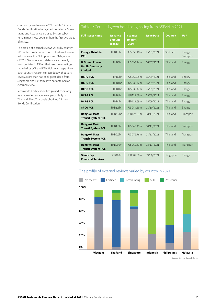common type of review in 2021, while Climate Bonds Certification has gained popularity. Green rating and Assurance are used by some, but remain much less popular than the first two types of review.

The profile of external reviews varies by country. SPO is the most common form of external review in Indonesia, the Philippines, and Malaysia as of 2021. Singapore and Malaysia are the only two countries in ASEAN that used green ratings provided by JCR and RAM Holdings, respectively. Each country has some green debt without any review. More than half of all green deals from Singapore and Vietnam have not obtained an external review.

Meanwhile, Certification has gained popularity as a type of external review, particularly in Thailand. Most Thai deals obtained Climate Bonds Certification.

| <b>Full Issuer Name</b>                                         | <b>Issuance</b><br>amount<br>(Local) | <b>Issuance</b><br>amount<br>(USD) | <b>Issue Date</b> | <b>Country</b> | <b>UoP</b>           |
|-----------------------------------------------------------------|--------------------------------------|------------------------------------|-------------------|----------------|----------------------|
| <b>Energy Absolute</b><br><b>PCL</b>                            | THB1.5bn                             | USD50.18m                          | 15/02/2021        | Vietnam        | Energy,<br>Transport |
| <b>B.Grimm Power</b><br><b>Public Company</b><br><b>Limited</b> | THB3bn                               | USD93.14m                          | 06/07/2021        | Thailand       | Energy               |
| <b>BCPG PCL</b>                                                 | THB <sub>2</sub> bn                  | USD60.85m                          | 15/09/2021        | Thailand       | Energy               |
| <b>BCPG PCL</b>                                                 | THB1bn                               | USD30.42m                          | 15/09/2021        | Thailand       | Energy               |
| <b>BCPG PCL</b>                                                 | THB1bn                               | USD30.42m                          | 15/09/2021        | Thailand       | Energy               |
| <b>BCPG PCL</b>                                                 | THB4bn                               | USD121.69m                         | 15/09/2021        | Thailand       | Energy               |
| <b>BCPG PCL</b>                                                 | THB4bn                               | USD121.69m                         | 15/09/2021        | Thailand       | Energy               |
| <b>SPCG PCL</b>                                                 | THB1.5bn                             | USD44.59m                          | 01/10/2021        | Thailand       | Energy               |
| <b>Bangkok Mass</b><br><b>Transit System PCL</b>                | THB4.2bn                             | USD127.27m                         | 08/11/2021        | Thailand       | Transport            |
| <b>Bangkok Mass</b><br><b>Transit System PCL</b>                | THB1.5bn                             | USD45.45m                          | 08/11/2021        | Thailand       | Transport            |
| <b>Bangkok Mass</b><br><b>Transit System PCL</b>                | THB2.5bn                             | USD75.76m                          | 08/11/2021        | Thailand       | Transport            |
| <b>Bangkok Mass</b><br><b>Transit System PCL</b>                | THB200m                              | USD60.61m                          | 08/11/2021        | Thailand       | Transport            |
| Sembcorp<br><b>Financial Services</b>                           | SGD400m                              | USD302.36m                         | 09/06/2021        | Singapore      | Energy               |

### The profile of external reviews varied by country in 2021

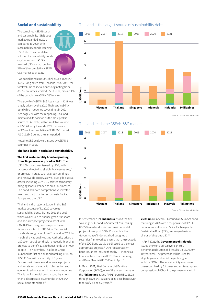#### Social and sustainability

The combined ASEAN social and sustainability (S&S) debt market expanded in 2021 compared to 2020, with sustainability bonds reaching USD8.5bn. The cumulative volume of sustainability bonds originating from ASEAN reached USD14.4bn, roughly 27% of the cumulative ASEAN GSS market as of 2021.

Two social bonds (USD0.13bn) issued in ASEAN in 2021 originated from Thailand. As of 2021, the total volume of social bonds originating from ASEAN countries reached USD0.61bn, around 1% of the cumulative ASEAN GSS market.

The growth of ASEAN S&S issuances in 2021 was largely driven by the 2020 Thai sustainability bond which reopened seven times in 2021 (see page 22). With the reopening, Thailand maintained its position as the most prolific source of S&S debt, with cumulative volume at USD5.8bn by the end of 2021, equivalent to 38% of the cumulative ASEAN S&S market (USD15.1bn) during the same period.

Note: No S&S deals were issued by ASEAN-6 countries in 2016.

#### Thailand leads in social and sustainability

The first sustainability bond originating from Singapore was priced in 2021. The

USD1.5bn bond was issued by UOB, with proceeds directed to eligible businesses and/ or projects in areas such as green buildings and renewable energy, as well as eligible social assets, including COVID-19-related temporary bridging loans extended to small businesses. The bond achieved comprehensive investor reach and participation across Asia Pacific, Europe and the US.20

Thailand is the regional leader in the S&S market because of its 2020 sovereign sustainability bond. During 2021 the deal, which was issued to finance green transport and social impact projects to assist with COVID-19 recovery, was reopened seven times for a total of USD3.04bn. Two social bonds also originated from Thailand in 2021. In March, the National Housing Authority priced a USD100m social bond, with proceeds financing projects to benefit 13,569 households or 54,000 people.21 In November, Thaifoods Group launched its first social bond totalling THB1bn (USD30.5m) with a maturity of 5 years. Proceeds will finance and refinance projects and assets associated with job creation and economic advancement in local communities. This is the first social bond issued by a nonfinancial corporate issuer under the ASEAN social bond standards.<sup>22</sup>

#### Thailand is the largest source of sustainability debt



Source: Climate Bonds Initiative





Source: Climate Bonds Initiative

In September 2021, **Indonesia** issued the first sovereign SDG bond in Southeast Asia, raising USD584m to fund social and environmental projects to support SDGs. Prior to this, the Government of Indonesia had designed a securities framework to ensure that the proceeds of the SDG Bond would be directed to the most appropriate projects.23 Other sustainability bond issuances include those by PT Indonesia Infrastructure Finance (USD150m) in January, and Bank Mandiri (USD300m) in April.24

In March 2021, Rizal Commercial Banking Corporation (RCBC), one of the largest banks in the **Philippines**, raised PHP17.9bn (USD368.28) through its ASEAN sustainability peso bonds with tenors of 2.5 and 5.2 years.<sup>25</sup>

Vietnam's Vinpearl JSC issued a USD425m bond, maturing in 2026 with a coupon rate of 3.25% per annum, as the world's first Exchangeable Sustainable Bond (ESB), exchangeable into shares of Vingroup JSC.<sup>26</sup>

In April 2021, the Government of Malaysia issued the world's first sovereign USDdenominated sustainability sukuk, a USD800m 10-year deal. The proceeds will be used for eligible green and social projects aligned with UN SDGs.<sup>27</sup> The sustainability sukuk was oversubscribed by 6.4 times and achieved spread compression of 40bps in the primary market. 28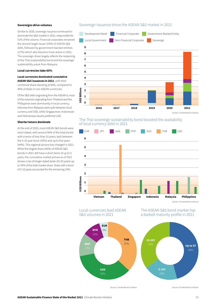#### Sovereigns drive volumes

Similar to 2020, sovereign issuance continued to dominate the S&S market in 2021, responsible for 51% of the volume. Financial corporates remained the second larger issuer (25%) of ASEAN S&S debt, followed by government-backed entities (17%) which also became more active in 2021. The sovereign share largely reflects the reopening of the Thai sustainability bond and the sovereign sustainability sukuk from Malaysia.

#### Local currencies take 60%

#### Local currencies dominated cumulative ASEAN S&S issuances in 2021, with their combined share standing at 60%, compared to 40% of deals in non-ASEAN currencies.

Of the S&S debt originating from the ASEAN-6, most of the volumes originating from Thailand and the Philippines were dominantly in local currency. Volumes from Malaysia were split between local currency and USD, while Singaporean, Indonesian and Vietnamese issuers preferred USD.

#### Shorter tenors dominate

At the end of 2020, most ASEAN S&S bonds were short-dated, with around 94% of the total bonds with a tenor of less than 10 years; split between the 5-10-year tenor (50%) and up to five years (44%). This regional picture has changed in 2021. While the largest share (46%) of ASEAN S&S bonds in 2021 still have a short tenor of up to 5 years, the cumulative market picture as of 2021 shows a rise of longer dated deals (10-20 years) up to 35% of the total market share. Deals with a tenor of 5-10 years accounted for the remaining 19%.

#### Sovereign issuance drove the ASEAN S&S market in 2021



#### The Thai sovereign sustainability bond boosted the availability of local currency debt in 2021





PHP





# a barbell maturity profile in 2021



Source: Climate Bonds Initiative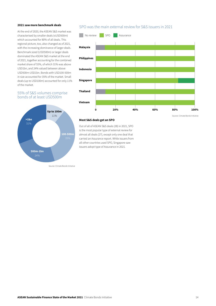#### 2021 saw more benchmark deals

At the end of 2020, the ASEAN S&S market was characterised by smaller deals (≤USD500m) which accounted for 80% of all deals. This regional picture, too, also changed as of 2021, with the increasing dominance of larger deals. Benchmark sized (USD500m) or larger deals dominated the ASEAN S&S market at the end of 2021, together accounting for the combined market share of 55%, of which 31% was above USD1bn, and 24% valued between above USD500m-USD1bn. Bonds with USD100-500m in size accounted for 35% of the market. Small deals (up to USD100m) accounted for only 11% of the market.

#### 55% of S&S volumes comprise bonds of at least USD500m



Source: Climate Bonds Initiative

#### SPO was the main external review for S&S issuers in 2021



Source: Climate Bonds Initiative

#### Most S&S deals get an SPO

Out of all of ASEAN S&S deals (28) in 2021, SPO is the most popular type of external review for almost all deals (27), except only one deal that carried an Assurance report. While issuers from all other countries used SPO, Singapore saw issuers adopt type of Assurance in 2021.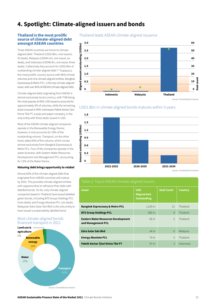### 4. Spotlight: Climate-aligned issuers and bonds

#### Thailand is the most prolific source of climate-aligned debt amongst ASEAN countries

Three ASEAN countries are home to climatealigned debt: Thailand (USD2.8bn, nine issuers, 55 deals), Malaysia (USD44.2m, one issuer, six deals), and Indonesia (USD46.9m, one issuer, three deals). Collectively they account for USD2.9bn of outstanding climate-aligned debt.<sup>29</sup> Thailand is the most prolific country source with 96% of total volumes and nine climate-aligned entities. Bangkok Expressway & Metro PCL. is the top climate-aligned issuer, with over 40% of ASEAN's climate-aligned debt.

Climate-aligned debt originating from ASEAN is almost exclusively local currency, with THB being the most popular at 95%. USD issuance accounts for approximately 3% of volumes, while the remaining share is issued in MYR. Indonesian Pabrik Kertas Tjiwi Kimia Tbk PT, a pulp and paper company, is the only entity with three deals issued in USD.

Most of the ASEAN climate-aligned companies operate in the Renewable Energy theme; however, it only accounts for 16% of the outstanding volume. Transport, on the other hand, takes 65% of the volume, which comes almost exclusively from Bangkok Expressway & Metro PCL. Four of the companies operate in the water business, with Eastern Water Resources Development and Management PCL accounting for 13% of the Water theme.

#### Maturing debt brings opportunity to relabel

Almost 60% of the climate-aligned debt that originated from ASEAN countries will mature by 2025. This provides climate-aligned entities with opportunities to refinance their debt with labelled bonds. So far, only climate-aligned companies based in Thailand have issued labelled green bonds, including BTS Group Holdings PCL (nine deals) and Energy Absolute PCL (six deals). Malaysian Edra Solar Sdn Bhd is the only entity to have issued a sustainability labelled bond.

#### Most climate-aligned bonds financed transport in 2021



Thailand leads ASEAN climate-aligned issuance



Source: Climate Bonds Initiative





| <b>Issuer</b>                                                    | <b>USD</b><br><b>Aligned Amt</b><br><b>Outstanding</b> | <b>Deal Count</b> | <b>Country</b> |
|------------------------------------------------------------------|--------------------------------------------------------|-------------------|----------------|
| <b>Bangkok Expressway &amp; Metro PCL</b>                        | $1,220 \, \text{m}$                                    | 21                | Thailand       |
| <b>BTS Group Holdings PCL</b>                                    | 682 m                                                  | 8                 | Thailand       |
| <b>Eastern Water Resources Development</b><br>and Management PCL | 66 m                                                   | $\mathfrak{D}$    | Thailand       |
| <b>Edra Solar Sdn Bhd</b>                                        | 44 m                                                   | 6                 | Malaysia       |
| <b>Energy Absolute PCL</b>                                       | 70 <sub>m</sub>                                        | 3                 | Thailand       |
| Pabrik Kertas Tjiwi Kimia Tbk PT                                 | 47 m                                                   | $\mathcal{R}$     | Indonesia      |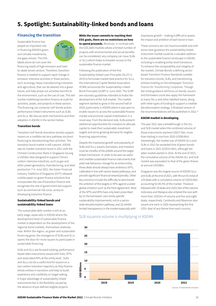### 5. Spotlight: Sustainability-linked bonds and loans

#### Financing the transition

Sustainable finance has played an important role in financing ASEAN's green and climate investments, but gaps remain. The GSS labels alone do not cover the



financing needs of high-emission and hardto-abate brown sectors. Therefore, transition finance is needed to support rapid change in emission-intensive activities in these sectors, such as energy, heavy manufacturing industries and agriculture, that can be steered into a green future, and help phase out activities harmful to the environment, such as the use of coal. This will involve mobilising transition finance at scale for activities, assets, and projects in these sectors. The financing can comprise UoP bonds and/or performance-linked instruments such as SLBs and SLLs. We discuss both mechanisms and their adoption in ASEAN in the section below.

#### Transition bonds

Transition UoP bonds (transition bonds) support issuers on a credible net-zero pathway via direct financing to decarbonising their activities. The transition bond market is still nascent. ASEAN saw its maiden transition bond in 2021 with the Chinese Construction Bank in Singapore issuing a USD2bn deal designed to support China's carbon-intensive industries, such as gas and other power generators, manufacturing, and steel production.30 In June 2021, the Green Financial Industry Taskforce of Singapore (GFIT) released a white paper on green finance solutions that incorporates the use of transition finance and recognises the role of government-led support, such as commercial risk cover, as key to developing transition finance.

#### Sustainability-linked bonds and sustainability-linked loans

The sustainable debt market is still at an early stage, especially in ASEAN where the development level of sustainable finance market is dependent on the development of the regional bond markets, themselves relatively new. Within the region, as green and sustainable financing grow, the emergence of SLBs and SLLs opens the door for more issuers to participate in sustainable financing.

SLBs and SLLs are forward-looking, performancebased debt instruments issued with links, SPTs and associated KPIs at the entity level. SLBs and SLLs can be a useful tool for issuers on a low-carbon transition trajectory as they finance whole entities in transition and help to build experience and credibility on target setting. A major advantage of sustainability-linked instruments lies in the flexibility caused by the absence of pre-defined eligible projects.

While the issuer commits to reaching their ESG goals, there are no restrictions on how to spend proceeds. Moreover, in contrast with the GSS debt markets where a limited number of projects with environmental and social benefits can be considered, any company can issue SLBs or SLLs which helps to broaden access to the sustainable finance market.

Following the publication of the first Sustainability-linked Loan Principles (SLLP) in 2019 to formulate market best practice for SLLs. the International Capital Market Association (ICMA) announced the Sustainability-Linked Bond Principles (SLBP) in June 2020. The SLBP are voluntary guidelines intended to foster the development of the SLB market. This market segment started to grow in the second half of 2020, particularly in ASEAN where it was seen to enable issuers to access the sustainable finance market and promote capital mobilisation in a novel way. From the demand side, SLBs present additional opportunities for investors to allocate capital to meet their sustainable investment targets and serve growing demand for eligible financing opportunities.

Despite the impressive growth and popularity of SLBs and SLLs, issuers, borrowers, and investors must be mindful of the pitfalls around the targetlinked mechanism. In order to be seen as useful and credible sustainable finance instruments that yield real behaviour change for an entire entity, these deals should always have ambitious SPTs, calibrated in line with sector-based pathways, and provide significant financial reward/penalty. Other key concerns include the difficulty to benchmark the ambition of the targets or KPIs against a wider global ambition such as the Paris Agreement. Most of the SPTs and KPIs have only been prescribed by (1) the borrowers' own entity-specific sustainability improvements, not to a sectorwide decarbonisation pathway, and (2) exhibit limited transparency in the market especially with

impressive growth – making it difficult to assess the impact and ambition of each bond or loan.

These concerns are not insurmountable and with some clear guidance the sustainability-linked instrument market could be a valuable addition to the sustainable finance landscape in ASEAN, including in enabling entity-level transitions. To enhance the comparability and integrity of the market, Climate Bonds is defining sectorbased Transition Finance Standards suitable for transition bonds. SLBs, and transitioning entities building on the whitepaper *Transition Finance for Transforming Companies*. Though the initial guidance will focus on bonds, issuers and borrowers could also apply the framework to loans (SLLs and other labelled loans), along with other types of funding to support a credible decarbonisation strategy. A finalised version of the recommendations will be published in 2022.<sup>31</sup>

#### ASEAN market is developing

The year 2021 saw a breakthrough in the SLL and SLB market when the combined volume of these instruments reached USD27.5bn, more than tripling in size from 2020 (USD8.6bn). Interestingly, the market size of ASEAN SLLs and SLBs in 2021 far exceeded that of green bonds and loans in 2021 (USD15.4bn), although the latter market started in 2016. At the end of 2021, the cumulative volume of the ASEAN SLL and SLB market was equivalent to that of the green theme at around USD39bn.

Singapore was the largest source of ASEAN SLLs and SLBs at the end of 2021, with 94 out of a total of 129 deals with a cumulative volume of USD33.6bn, accounting for 84.5% of the market. Thailand followed with 19 deals and USD2.3bn of the volume. Indonesia and Malaysia also entered the race with more than USD1bn of volume and five and eight deals, respectively. Cambodia and Myanmar also issued one each in 2020 representing the first GSS+ deal of any theme from each country.

#### SLB issuance volume is multiplying in ASEAN



Source: Climate Bonds Initiative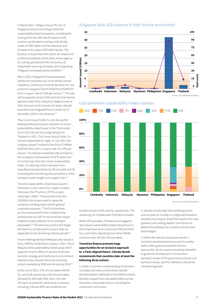#### Singapore leads SLB issuance in both volume and number

In March 2021, Trafigura Group Pte Ltd. of Singapore announced a huge USD5.5bn sustainability-linked transaction, including the closing of its new 365-day European multicurrency syndicated revolving credit facility worth of USD1.85bn and the extension and increase of its 3-year USD3.65bn facility. The facilities include three KPIs which are tested and verified annually by a third-party review agency: (1) cutting operational GHG emissions, (2) responsible sourcing of metals, and (3) growing Trafigura's renewable power portfolio.32

Also in 2021, Singapore's head-quartered Sembcorp Industries Ltd, via its wholly-owned subsidiary, Sembcorp Financial Services Pte. Ltd, priced its inaugural SLB of SGD675m (USD497m) with a coupon rate of 2.6% per annum.<sup>33</sup> This rate will be stepped up by 0.25% from the first interest payment date if the company's target to reduce GHG emissions to 0.4 tonnes of carbon dioxide equivalent per megawatt hour or lower by 31 December, 2025 is not achieved.<sup>34</sup>

Thai Union Group Public Co Ltd, the world's leading seafood processor, has been an active sustainability-linked issuer in the Thai market. Out of 16 SLBs and SLLs originating from Thailand in 2021, Thai Union Group Public Co Ltd was responsible for eight. In July 2021, the company issued Thailand's first SLB of THB5bn (USD150.70m) with a coupon rate of 2.47% per annum. The interest reward/penalty is linked to the company's achievement of SPTs which are: (1) remaining in the Dow Jones Sustainability Index, (2) reducing carbon emission from manufacturing operations by 4% annually and (3) increasing the monitoring and surveillance of the company's wild-caught tuna supply chain.35

The only sustainability-linked deal issued in Indonesia in 2021 came from Japfa Comfeed Indonesia Tbk PT with a 5.375% coupon maturing in 2026.36 The proceeds from the USD350m bond were used to repay the company's existing notes and for general corporate purposes.37 The SLB prioritises an environmental KPI that is linked to the achievement of a SPT to minimise the impact related to water pollution from untreated wastewater.38 The failure to achieve this target will lead to a 25 basis point coupon step-up applicable to the remaining interest periods.<sup>39</sup>

Yinson Holdings Berhad of Malaysia also issued a SLB, a MYR1bn (USD236.3m) sukuk in 2021. This is Malaysia's first sustainability-linked sukuk which supports Yinson's efforts to achieve its climate transition strategy and reinforces its commitment towards a low-emission future by achieving carbon neutrality by 2030 and net zero by 2050.40

At the end of 2021, 67% of cumulative ASEAN SLL and SLB volume was USD-denominated, followed by SGD with 20%. AUD, CNY, and JPY each received 3%, while local currencies, including THB and MYR, accounted for the









Source: Climate Bonds Initiative

smallest shares of 2% and 1%, respectively. The remaining 1% of deals were EUR-denominated.

While USD prevailed, Thailand and Singapore also issued sustainability-linked transactions in their respective local currencies (THB and SGD). SLLs and SLBs originating from other ASEAN countries were all USD-denominated.

#### Transition finance presents huge opportunities for an inclusive approach to a Paris-aligned future. Climate Bonds recommends that countries take at least the following three actions:

1. Foster a common understanding of transition concepts and national and sector-specific decarbonisation pathways in the ASEAN context. Mobilise support from key stakeholders across the public and private sectors, including the investment community.

2. Identify priority high GHG-emitting sectors and activities to include in a (regional) transition standard, focusing on those that require the most guidance and setting realistic time frames to determine pathways for complex activities and technologies.

3. Define the relevant scope/premise for a transition standard/taxonomy and it's context within wider green/sustainable finance taxonomies. Sector experts should be identified to guide the development of a transition standard, as part of the governance process and technical review, and the definitions should be reviewed regularly.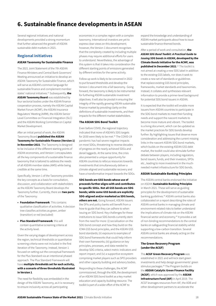## 6. Sustainable finance developments in ASEAN

Several regional initiatives and national developments provided a strong momentum that further advanced the growth of ASEAN sustainable debt markets in 2021.

#### Regional initiatives

#### ASEAN Taxonomy for Sustainable Finance

The 2021 Joint Statement of the 7th ASEAN Finance Ministers and Central Bank Governors' Meeting announced an initiative to develop an ASEAN Taxonomy for Sustainable Finance, which will serve as ASEAN's common language for sustainable finance and complement member states' national initiatives.<sup>41</sup> Subsequently, the ASEAN Taxonomy Board was established by four sectorial bodies under the ASEAN finance cooperation process, namely the ASEAN Capital Market Forum (ACMF), the ASEAN Insurance Regulators' Meeting (AIRM), the ASEAN Senior Level Committee on Financial Integration (SLC) and the ASEAN Working Committee on Capital Market Development.

After an initial period of work, the ASEAN Taxonomy Board published the ASEAN Taxonomy for Sustainable Finance (Version 1) in November 2021. The Taxonomy is designed to be inclusive of the different starting points of ASEAN economies, and Version 1 encapsulates all the key components of a sustainable finance taxonomy that is tailored to address the needs

of all ASEAN member states (AMS) while being credible at the same time. Specifically, Version 1 of the Taxonomy provides the key concepts as a basis for consultation,

discussion, and collaboration with stakeholders as the ASEAN Taxonomy Board develops the Taxonomy further. Currently, there are two parts of the Taxonomy:

- Foundation Framework: This contains qualitative classification of activities. A decision tree classifies activities as green, amber (transition) or red (excluded)
- Plus Standard Framework: this will contain quantitative screening criteria at the activity level.

Given the varying stages of development across the region, technical thresholds or quantitative screening criteria were not included in the first iteration of the Taxonomy. Instead, Version 1 focused on setting out the conceptual framework for the Plus Standard via an intentional phased approach. The Plus Standard Framework will have multiple thresholds set for each activity, with a scenario of three thresholds illustrated in Version 1.

The need for flexibility was embedded in the design of the ASEAN Taxonomy, as it is necessary to ensure inclusivity across all participating

economies in a complex region with a complex taxonomy. International investors are yet to express clear views on this development; however, the Version 1 document recognises that the complexity created by including multiple phases may require additional efforts for users to understand. Nevertheless, the advantage of this system is that it takes into consideration the different starting points of emissions generated by different entities for the same activity.

Follow up work is likely to be convened in 2022 to put forward thresholds and develop the Version 1 document into a full taxonomy. Going forward, the taxonomy is likely to be instrumental for furthering ASEAN sustainable investment objectives. It will also be pivotal in ensuring the integrity of the rapidly growing ASEAN sustainable finance market by providing clarity on the definitions of sustainable investments, and their impacts for the different market stakeholders.

#### The ASEAN SDG Bond Toolkit

Even before COVID, the regional trajectory indicated that none of ASEAN's SDG targets for 2030 were likely to be met.<sup>42</sup> The COVID-19 pandemic has had severe negative impacts on most SDGs, threatening to reverse decades of progress on the nearly achieved SDGs and derail laggards. At the same time, the crisis also presented a unique opportunity for ASEAN countries to refocus resources towards investments that simultaneously deliver a climate-aligned and sustainable recovery and have a transformative impact towards the SDGs.

SDG bonds are GSS bonds whose use of proceeds further aligns with and contributes to specific SDGs. Not all GSS bonds are SDG bonds; while some GSS bonds are explicitly SDG-aligned and/or marketed as SDG bonds, others are not. Going forward, ASEAN issuers like DFIs and policy banks will benefit from a how-to guide that they can adhere to when issuing an SDG bond. Key challenges for these institutions to issue SDG bonds currently stem from the need for more: (i) socialisation on the SDG bond concept and how they build on the ICMA GSS bond principles, and the ASEAN GSS bond standards; (ii) exposure to examples of SDG bond frameworks that could help inform their own frameworks; (iii) guidance on key principles, processes, and data needed to develop SDG criteria, select metric indicators and report impact; and (iv) a supportive ecosystem comprising market players such as SPO providers and other capacity building and advisory bodies.

Responding to these challenges, the ACMF commissioned, through the ADB, the development of an ASEAN SDG bond toolkit as a key market education and capacity-building resource. The toolkit is part of a wider effort of the ACMF to

expand the knowledge and understanding of ASEAN market participants about how to issue sustainable finance-themed bonds.

After a period of work and consultation, the *ASEAN SDG Bond Toolkit: A Practical Guide to Issuing SDG bonds in ASEAN*, developed by the Climate Bonds Initiative for the ACMF, was

published in December 2021.<sup>43</sup> The toolkit is not aimed at creating a new SDG label in addition to the existing GSS labels, nor does it seek to create a new set of standards or guidelines that replace existing GSS bond principles, frameworks, market standards and taxonomies. Instead, it collates and synthesises relevant information to provide a primer-level background for potential SDG bond issuers in ASEAN.

It is expected that the toolkit will enable more issuers from ASEAN countries to participate in the SDG bond markets to meet their funding needs and support the nascent markets to become more mature and vibrant. The toolkit is a living document, which can be updated as the market practices for SDG bonds develop further. By highlighting issues that deserve more consideration and addressing the current missing links in the nascent ASEAN SDG bond markets, which builds on the existing ASEAN GSS debt market, the toolkit could also stimulate further debate between players, including regulators, bond issuers, funds, and their investors, SPOs etc., leading to more investment in the muchneeded market infrastructure for SDG bonds.

#### ASEAN Sustainable Banking Principles

The ASEAN central banks endorsed the initiative on ASEAN Sustainable Banking Principles in March 2021. These will serve as guiding principles for the development of sustainable banking guidelines.44 ASEAN central banks also collaborated on a report describing the roles of ASEAN central banks in managing climate and environment-related risks to better understand the implications of climate risk on the ASEAN financial sector and economy.45 It provides a set of non-binding recommendations to the central banks on safeguarding financial stability whilst supporting a low-carbon transition. Several ASEAN central banks are already acting on the recommendations.

#### The Green Recovery Program (under the ACGF)

The ACGF Green Recovery Program was established in 2021 and will kick start green investments and help design governments' green stimulus packages.46 The Program builds on the ASEAN Catalytic Green Finance Facility (ACGF), which was approved by the ASEAN Infrastructure Fund (AIF) in April 2019. The ACGF leverages resources from AIF, the ADB and other development partners to accelerate the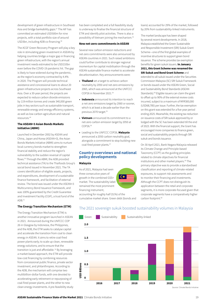development of green infrastructure in Southeast Asia and bridge bankability gaps.<sup>47</sup> The AIF has committed an estimated USD500m for nine projects, with a total portfolio size of around USD3bn, including ADB co-financing.48

The ACGF Green Recovery Program will play a key role in stimulating green investment in ASEAN by helping countries bridge a major gap in financing green infrastructure, with the region's annual investment needs estimated to be USD210bn even before the COVID-19 pandemic hit. The gap is likely to have widened during the pandemic, as the region's economy contracted by 4.4% in 2020. The Program will provide technical assistance and concessional loans to about 20 green infrastructure projects across Southeast Asia. Over a 30-year period, the projects are expected to reduce carbon dioxide emissions by 119 million tonnes and create 340,000 green jobs in key sectors such as sustainable transport, renewable energy and energy efficiency systems, as well as low-carbon agriculture and natural resources.49

#### The ASEAN+3 Asian Bonds Markets Initiative (ABMI)

Launched in December 2002 by ASEAN and China, Japan and Korea (ASEAN+3), the Asian Bonds Markets Initiative (ABMI) aims to nurture local currency bonds market to strengthen financial stability and reduce the region's vulnerability to the sudden reversal of capital flows.50 Through the ABMI, the ADB provided technical assistance (TA) to the Thaifoods Group's social bond issued in November 2021. The TA covers identification of eligible assets, projects, and expenditures, development of a sustainable finance framework, and facilitation of external review. The bond was issued under the ASEAN+3 Multicurrency Bond Issuance Framework, and was 100% guaranteed by the Credit Guarantee and Investment Facility (CGIF), a trust fund of the ADB.51

#### The Energy Transition Mechanism (ETM)

The Energy Transition Mechanism (ETM) is another innovative program launched in ASEAN in 2021. Announced during the UNFCCC COP 26 in Glasgow by Indonesia, the Philippines, and the ADB, the ETM seeks to catalyse capital and accelerate the transition from coal to clean energy in ASEAN. It aims to retire coal-fired power plants early; to scale up clean, renewable energy solutions; and to ensure that the transition is just and affordable. 52 By leveraging a market-based approach, the ETM will provide low-cost financing by combining resources from concessional public finance, private sector investment, and philanthropies. According to the ADB, the mechanism will comprise two multibillion-dollar funds, with one devoted to accelerating early retirement or repurposing of coal-fired power plants, and the other to new clean energy investments. A pre-feasibility study has been completed and a full feasibility study is underway to finalise the financial structure of ETM and identify pilot activities. There is also a possibility of Vietnam joining the mechanism.<sup>53</sup>

#### New net-zero commitments in ASEAN

Several new carbon emission reductions and net-zero commitments were also announced by ASEAN countries in 2021. Such raised ambitions could further contribute to stronger regional momentum for capital mobilisation through the ASEAN sustainable finance market to accelerate decarbonisation. Key announcements were:

- Thailand set a target to achieve carbon neutrality by 2050 and net-zero emissions by 2065, which was announced at the UNFCCC COP26 in November 2021.54
- Indonesia announced its intention to reach a net-zero emissions target by 2060 or sooner, which is at least a decade earlier than the previous 2070 target.<sup>55</sup>
- Vietnam announced its commitment to a net-zero carbon emission target by 2050 at COP26.56
- Leading to the UNFCCC COP26, Malaysia announced a 2050 carbon neutrality goal, alongside a commitment to stop building new coal-fired power plants.<sup>57</sup>

#### Country overviews and national policy developments

 $\bigcap$ 

#### Malaysia

As of 2021, Malaysia had seen three consecutive years of growth in the combined GSS+ market. The sustainability label remained the most prominent financing instrument,

accounting for roughly half (51%) of the cumulative market share. Green debt (bonds and loans) accounted for 29% of the market, followed by 20% from sustainability-linked instruments.

The market landscape has been shaped by several recent developments. In 2018, Malaysia established the Green Sustainable and Responsible Investment (SRI) Sukuk Grant Scheme—one of the first global examples of incentive structures to support green bond issuance. The scheme provides tax exemption benefits for green sukuk issuers. In January 2021, this Grant Scheme was renamed the SRI Sukuk and Bond Grant Scheme and extended to all sukuk issued under the Securities Commission Malaysia (SC) SRI Sukuk Framework or bonds issued under the ASEAN Green, Social and Sustainability Bond Standards (ASEAN Standards).58 Eligible issuers can claim the grant to offset up to 90% of the external review costs incurred, subject to a maximum of MYR300,000 (USD68,785) per issue. Further, the tax exemption on this grant was extended for a five-year period ending 2025. Meanwhile, the existing tax reduction on issuance costs of SRI sukuk approved by or lodged with the SC has been extended till the end of 2023. With the financial support, the Grant has encouraged more companies to finance green, social and sustainability projects through SRI sukuk and bonds issuance.

On 30 April 2021, Bank Negara Malaysia released its Climate Change and Principle-based Taxonomy (CCPT) as the guiding principles related to climate objectives for financial institutions and other market players.<sup>59</sup> The primary objective was to provide a standardised classification and reporting of climate-related exposures, to support risk assessments and to monitor their financing and investments. Although the CCPT does not distinguish its application between the retail and corporate segments, it is more corporate-focused given that corporate segments have a comparatively higher carbon footprint.<sup>60</sup>

#### The 2021 sovereign sukuk boosted sustainability volumes in Malaysia

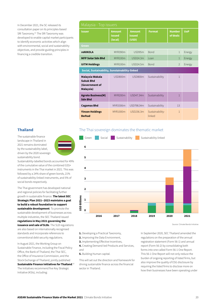In December 2021, the SC released its consultation paper on its principles-based SRI Taxonomy.<sup>61</sup> The SRI Taxonomy was developed to enable capital market participants to identify economic activities which align with environmental, social and sustainability objectives, and provide guiding principles in financing a credible transition.

| Malaysia - Top issuers                                             |                                           |                                  |                           |                           |            |  |
|--------------------------------------------------------------------|-------------------------------------------|----------------------------------|---------------------------|---------------------------|------------|--|
| <b>Issuer</b>                                                      | <b>Amount</b><br><b>issued</b><br>(local) | <b>Amount</b><br>issued<br>(USD) | <b>Format</b>             | <b>Number</b><br>of deals | <b>UoP</b> |  |
| Green                                                              |                                           |                                  |                           |                           |            |  |
| <b>reNIKOLA</b>                                                    | MYR390m                                   | USD95m                           | <b>Bond</b>               | $\mathbf{1}$              | Energy     |  |
| <b>MFP Solar Sdn Bhd</b>                                           | MYR100m                                   | USD24.3m                         | I oan                     | $\mathbf{1}$              | Energy     |  |
| <b>UITM Holdings</b>                                               | MYR100m                                   | USD24.5m                         | <b>Bond</b>               | $\mathfrak{D}$            | Energy     |  |
| Social, Sustainability, Sunstainability-linked                     |                                           |                                  |                           |                           |            |  |
| Malaysia Wakala<br><b>Sukuk Bhd</b><br>(Government of<br>Malaysia) | USD800m                                   | USD800m                          | Sustainability            | $\mathbf{1}$              |            |  |
| <b>Agroto Business(M)</b><br><b>Sdn Bhd</b>                        | MYR200m                                   | USD47.34m                        | Sustainability            | $\mathbf{1}$              |            |  |
| <b>Cagamas Bhd</b>                                                 | MYR3306m                                  | USD798.34m                       | Sustainability            | 13                        |            |  |
| <b>Yinson Holdings</b><br><b>Berhad</b>                            | MYR1000m                                  | USD236.3m                        | Sustainability-<br>linked | $\mathbf{1}$              |            |  |

### Thailand

The sustainable finance landscape in Thailand in 2021 remains dominated by the sustainability label, driven by the 2020 sovereign sustainability bond.



Sustainability-labelled bonds accounted for 49% of the cumulative value of the combined GSS+ instruments in the Thai market in 2021. This was followed by a 24% share of green bonds, 21% of sustainability-linked instruments, and 5% of social bonds respectively.

The Thai government has developed national and regional policies for facilitating further growth in sustainable finance. The latest SEC Strategic Plan 2021--2023 maintains a goal to build a robust foundation to support sustainable development. To promote the sustainable development of businesses across multiple industries, the SEC Thailand issued regulations in May 2021 governing the issuance and sale of SLBs. The SLB regulations are also based on internationally recognised standards and incorporate references to conventional debt security regulations.

In August 2021, the Working Group on Sustainable Finance, including the Fiscal Policy Office, the Bank of Thailand, the Thai SEC, the Office of Insurance Commission, and the Stock Exchange of Thailand, jointly published

Sustainable Finance Initiatives for Thailand. $^\mathrm{62}$ The Initiatives recommend five Key Strategic Initiative (KSIs), including:

#### The Thai sovereign dominates the thematic market



Source: Climate Bonds Initiative

- 1. Developing a Practical Taxonomy,
- 2. Improving the Data Environment,
- 3. Implementing Effective Incentives,
- 4. Creating Demand-led Products and Services, and
- 5. Building Human capital.

This will set out the direction and framework for driving sustainable finance across the financial sector in Thailand.

In September 2020, SEC Thailand amended the regulations on the preparation of the annual registration statement (Form 56-1) and annual report (Form 56-2) by consolidating both forms into one called Form 56-1 One Report. This 56-1 One Report will not only reduce the burden of ongoing reporting of listed firms, but also improve the quality of ESG disclosure by requiring the listed firms to disclose more on how their businesses have been operating under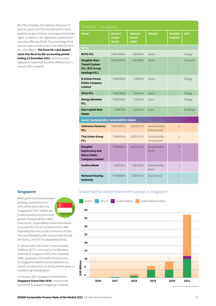the ESG principles. For instance, disclosure of policies, goals and ESG-oriented performance, greenhouse gas emission, and respect for human rights. In addition, the registration statement for securities offering of both Thai and foreign firms has also been revised to be in line with the Form 56-1 One Report. The Form 56-1 One Report came into force for the accounting period ending 31 December 2021, and the revised registration statement has been effective from 1 January 2022 onwards.

#### Singapore

While green volumes have been growing consistently since 2016, at the end of 2021 the Singaporean GSS+ market was characterised by the prominent growth of sustainability-linked

instruments. Sustainability-linked instruments accounted for 57% of cumulative GSS+ debt originating from the country at the end of 2021. This was followed by 40% of green debt (bonds and loans), and 3% of sustainability bonds.

 $\mathbb{G}^*$ 

In January 2021, the Green Finance Industry Taskforce (GFIT), convened by the Monetary Authority of Singapore (MAS) and chaired by HSBC, proposed a first draft of its taxonomy for Singapore-based financial institutions to identify activities that can be considered green or transitioning towards green.

In February 2021, Singapore introduced its **Singapore Green Plan 2030**, a nationwide movement to advance Singapore's national

| Thailand - Top issuers                                                                        |                                           |                                         |                                 |                           |                  |  |
|-----------------------------------------------------------------------------------------------|-------------------------------------------|-----------------------------------------|---------------------------------|---------------------------|------------------|--|
| <b>Issuer</b>                                                                                 | <b>Amount</b><br><b>issued</b><br>(local) | <b>Amount</b><br><b>issued</b><br>(USD) | <b>Format</b>                   | <b>Number</b><br>of deals | <b>UoP</b>       |  |
| Green                                                                                         |                                           |                                         |                                 |                           |                  |  |
| <b>BCPG PCL</b>                                                                               | THB12000m                                 | <b>USD365m</b>                          | Bond                            |                           | Energy           |  |
| <b>Bangkok Mass</b><br><b>Transit System</b><br><b>PCL (BTS Group</b><br><b>Holdings PCL)</b> | THB10200m                                 | <b>USD309m</b>                          | <b>Bond</b>                     |                           | Transport        |  |
| <b>B.Grimm Power</b><br><b>Public Company</b><br><b>Limited</b>                               | THB3000m                                  | USD93m                                  | <b>Bond</b>                     |                           | Energy           |  |
| <b>SPCG PCL</b>                                                                               | THB1500m                                  | USD44m                                  | Bond                            |                           | Energy           |  |
| <b>Energy Absolute</b><br><b>PCL</b>                                                          | THB1500m                                  | USD50m                                  | I oan                           |                           | Energy           |  |
| <b>Asia Capital Real</b><br><b>Estate</b>                                                     | <b>THB675m</b>                            | USD22m                                  | Loan                            |                           | <b>Buildings</b> |  |
| Social, Sustainability, Sustainability-linked                                                 |                                           |                                         |                                 |                           |                  |  |
| <b>Indorama Ventures</b><br><b>PCL</b>                                                        | THB10000m                                 | USD302.2m                               | Sustainability-<br>Ilinked bond | 3                         |                  |  |
| <b>Thai Union Group</b><br><b>PCL</b>                                                         | THB6950m                                  | USD210.3m                               | Sustainability-<br>llinked bond | 3                         |                  |  |
| <b>Bangkok</b><br><b>Expressway and</b><br><b>Metro Public</b><br><b>Company Limited</b>      | THB6000m                                  | USD191.2m                               | Sustainability<br>bond          | $\overline{4}$            |                  |  |
| <b>KasikornBank</b>                                                                           | <b>EUR155m</b>                            | <b>USD182m</b>                          | Sustainability<br>bond          | $\mathbf{1}$              |                  |  |
| <b>National Housing</b><br><b>Authority</b>                                                   | THB3000m                                  | USD97.3m                                | Social bond                     | $\mathbf{1}$              |                  |  |

#### Sustainability-linked instruments prevail in Singapore

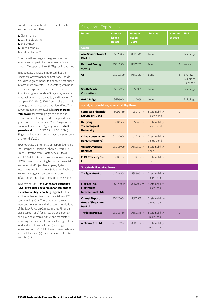agenda on sustainable development which featured five key pillars:

- 1. City in Nature
- 2. Sustainable Living
- 3. Energy Reset
- 4. Green Economy
- 5. Resilient Future.<sup>63</sup>

To achieve these targets, the government will introduce multiple initiatives, one of which is to develop Singapore as the ASEAN green finance hub.

In Budget 2021, it was announced that the Singapore Government and Statutory Boards would issue green bonds to finance select public infrastructure projects. Public sector green bond issuance is expected to help deepen market liquidity for green bonds in Singapore, as well as to attract green issuers, capital, and investors. So far, up to SGD19bn (USD13.7bn) of eligible public sector green projects have been identified. The government plans to establish a **green bond** framework for sovereign green bonds and worked with Statutory Boards to support their green bonds. In September 2021, Singapore's National Environment Agency issued its first green bond worth SGD1.65bn (USD1.23bn). Singapore had not issued a sovereign green bond by the end of 2021.

In October 2021, Enterprise Singapore launched the Enterprise Financing Scheme-Green (EFS-Green). Effective from 1 October 2021 to 31 March 2024, EFS-Green provides for risk-sharing of 70% to support lending by partner financial institutions to Project Developers, System Integrators and Technology & Solution Enablers in clean energy, circular economy, green infrastructure and clean transportation sectors.

In December 2021, the Singapore Exchange (SGX) introduced several enhancements to its sustainability reporting regime for listed entities with effect from the financial year (FY) commencing 2022. These included climate reporting consistent with the recommendations of the Task Force on Climate-related Financial Disclosures (TCFD) for all issuers on a comply or explain basis from FY2022; and mandatory reporting for issuers in (i) financial (ii) agriculture, food and forest products and (iii) energy industries from FY2023, followed by (iv) materials and buildings and (v) transportation industries from FY2024.

| Singapore - Top issuers                                             |                                           |                                         |                                |                           |                                          |  |  |
|---------------------------------------------------------------------|-------------------------------------------|-----------------------------------------|--------------------------------|---------------------------|------------------------------------------|--|--|
| <b>Issuer</b>                                                       | <b>Amount</b><br><i>issued</i><br>(local) | <b>Amount</b><br><b>issued</b><br>(USD) | <b>Format</b>                  | <b>Number</b><br>of deals | <b>UoP</b>                               |  |  |
| Green                                                               |                                           |                                         |                                |                           |                                          |  |  |
| <b>Asia Square Tower 1</b><br><b>Pte Ltd</b>                        | SGD2100m                                  | USD1548m                                | Loan                           | $\mathbf{1}$              | <b>Buildings</b>                         |  |  |
| <b>National Energy</b><br><b>Agency</b>                             | SGD1650m                                  | USD1230m                                | Bond                           | $\overline{2}$            | Waste                                    |  |  |
| <b>GLP</b>                                                          | <b>USD1150m</b>                           | USD1150m                                | <b>Bond</b>                    | $\overline{2}$            | Energy,<br><b>Buildings</b><br>Transport |  |  |
| <b>South Beach</b><br><b>Consortium</b>                             | SGD1220m                                  | <b>USD908m</b>                          | Loan                           | $\mathbf{1}$              | <b>Buildings</b>                         |  |  |
| <b>GOLD Ridge</b>                                                   | SGD900m                                   | <b>USD669m</b>                          | Loan                           | $\mathbf{1}$              | <b>Buildings</b>                         |  |  |
| Social, Sustainability, Sunstainability-linked                      |                                           |                                         |                                |                           |                                          |  |  |
| <b>Sembcorp Financial</b><br><b>Services PTE Ltd</b>                | SGD675m                                   | <b>USD497m</b>                          | Sustainability-<br>linked bond | $\mathbf{1}$              |                                          |  |  |
| <b>Nanyang</b><br><b>Technological</b><br><b>University</b>         | SGD650m                                   | <b>USD481m</b>                          | Sustainability-<br>linked bond | $\mathbf{1}$              |                                          |  |  |
| <b>China Construction</b><br><b>Bank (Singapore)</b>                | <b>CNY2000m</b>                           | <b>USD310m</b>                          | Sustainability-<br>linked bond | $\mathbf{1}$              |                                          |  |  |
| <b>United Overseas</b><br><b>Bank Ltd</b>                           | <b>USD1500m</b>                           | <b>USD1500m</b>                         | Sustainability<br>bond         | $\overline{2}$            |                                          |  |  |
| <b>FLCT Treasury Pte</b><br><b>Ltd</b>                              | SGD110m                                   | USD81.2m                                | Sustainability<br>bond         | $\mathbf{1}$              |                                          |  |  |
| <b>Sustainability-linked loans</b>                                  |                                           |                                         |                                |                           |                                          |  |  |
| <b>Trafigura Pte Ltd</b>                                            | USD3650m                                  | USD3650m                                | Sustainability-<br>linked loan | $\mathbf{1}$              |                                          |  |  |
| Flex Ltd (fka<br><b>Flextronics</b><br><b>International Ltd)</b>    | <b>USD2000m</b>                           | <b>USD2000m</b>                         | Sustainability-<br>linked loan | $\mathbf 1$               |                                          |  |  |
| <b>Changi Airport</b><br><b>Group (Singapore)</b><br><b>Pte Ltd</b> | SGD2000m                                  | <b>USD1508m</b>                         | Sustainability-<br>linked loan | $\mathbf{1}$              |                                          |  |  |
| <b>Trafigura Pte Ltd</b>                                            | USD1345m                                  | USD1345m                                | Sustainability-<br>linked loan | $\mathbf 1$               |                                          |  |  |
| <b>AirTrunk Pte Ltd</b>                                             | AUD1622m                                  | USD1194m                                | Sustainability-<br>linked loan | $\mathbf 1$               |                                          |  |  |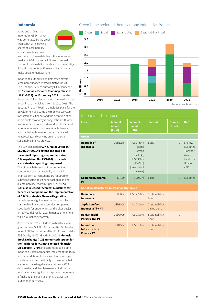#### Indonesia

At the end of 2021, the Indonesian GSS+ market was dominated by the green theme, but with growing shares of sustainability and sustainability-linked



instruments. Green debt leads the Indonesian market at 65% of volume followed by equal shares of sustainability bonds and sustainabilitylinked instruments at 15% each. Social bonds make up a 5% market share.

Indonesian authorities implemented several sustainable finance related initiatives in 2021. The Financial Service Authority (OJK) launched the Sustainable Finance Roadmap Phase II (2021–2025) on 15 January 2021 to build on the successful implementation of key milestones under Phase I, which ran from 2015 to 2019. The updated Phase II Roadmap includes plans for the development of a complete market ecosystem for sustainable finance and the definition of an appropriate taxonomy in conjunction with other institutions. It also hopes to address the limited amount of research into sustainable finance and the lack of human resources dedicated to assessing and verifying green and other sustainable finance projects.

#### The OJK also issued OJK Circular Letter 16/ SEOJK.04/2021 to extend the scope of the annual reporting requirements (in OJK regulation No. 29/2016) to include a sustainable reporting component.

This circular letter sets out the content and component of a sustainability report. All financial service institutions are required to submit a sustainable finance action plan and a sustainability report by April 2022.<sup>64</sup> The OJK also released Technical Guidelines for Securities Companies on the Implementation of OJK Sustainable Finance Regulation to

provide general guidelines on the principles of sustainable finance for securities companies, specifically for underwriters and broker-dealer firms.65 Guidelines for wealth management firms will be launched separately

As of December 2021, Indonesia had four local green indices: SRI KEHATI Index, IDX ESG Leader Index, ESG Sector Leaders IDX KEHATI and Indeks ESG Quality 45 IDX KEHATI. In 2021, Indonesia Stock Exchange (IDX) announced support for the Taskforce for Climate-related Financial **Disclosure (TCFD)** and committed to helping Indonesia Listed Companies implement the TCFD recommendations. Indonesia's four sovereign bonds have added credibility to the efforts that are being made to galvanise a domestic GSS debt market and they have earned Indonesia international recognition as a pioneer. Indonesia is finalising the green taxonomy that will be launched in early 2022.

#### Green is the preferred theme among Indonesian issuers



Issuer Amount issued (local) Amount issued (USD) Format Number of deals UoP Green Republic of Indonesia USD1.1bn USD750m (global green sukuk); USD350m (IDR5tn) (green retail sukuk) Bond 1 Energy, Buildings, Transport, Waste, Land Use, Unalloc. A&R Kepland Investama PT IDR1.1tn USD73m Loan 1 Buildings Social, Sustainability, Sunstainability-linked Republic of Indonesia EUR500m USD585.8m Sustainability bond 1 Japfa Comfeed Indonesia Tbk PT USD350m USD350m Sustainabilitylinked bond 1 Bank Mandiri Persero Tbk PT USD300m USD300m Sustainability bond 1 Indonesia Infrastructure Finance PT USD150m USD150m Sustainability bond 1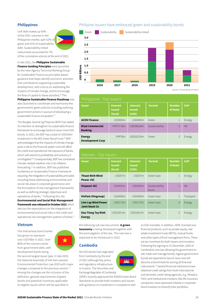#### Philippines

UoP debt makes up 93% of the GSS+ volumes in the Philippines market, split 52% of green and 41% of sustainability debt. Sustainability-linked instruments accounted for 7% of the cumulative volume at the end of 2021.

In late 2021, the **Philippine Sustainable Finance Guiding Principles** were launched by the Inter-Agency Technical Working Group for Sustainable Finance as principles-based guidance that helps identify economic activities that contribute to supporting sustainable development, with a focus on addressing the impacts of climate change, and to encourage the flow of capital to these activities.<sup>66</sup> The

Philippine Sustainable Finance Roadmap was also launched to coordinate and harmonise the government's green policies including outlining government actions in pursuit of developing a sustainable finance ecosystem.<sup>67</sup>

The Bangko Sentral ng Pilipinas (BSP) has stated its intention to strengthen its sustainable finance framework to encourage banks to issue more GSS bonds. In 2021, the BSP has a total of USD550m investment in the BIS Green Bond Fund.<sup>68</sup> BSP acknowledges that the impacts of climate change pose a risk to the financial system and will affect the credit and operational risk exposure of banks, which will extend to profitability and solvency if unmitigated.69 Consequentially, BSP has considered climate-related weather risk in its inflation forecasting.70 In addition, BSP has published Guidelines on Sustainable Finance Framework requiring: the integration of sustainability principles including those addressing environmental and social risk areas in corporate governance and the formulation of risk management frameworks as well as defining strategic objectives and operations of banks.<sup>71</sup> Following this, the Environmental and Social Risk Management

Framework was released in October 2021 which sets out the expectations on the integration of environmental and social risks in the credit and operational risk management systems of banks.72

#### Vietnam

The Vietnamese bond market has grown to represent over USD70bn in 2021. Over 80% of the volume comes from government debt, with development banks being



the second-largest issuer type. In late 2020, the National Assembly of Viet Nam passed Environmental Protection Law 2020 with major changes compared to the previous version.<sup>73</sup> Among the changes are the inclusion of the definition, general requirements of green bonds and potential incentives applicable to eligible issuers which will be specified in

#### Philipine issuers have embraced green and sustainability bonds



Source: Climate Bonds Initiative

| Philippines - Top issuers                 |                                    |                                         |                |                           |            |  |  |
|-------------------------------------------|------------------------------------|-----------------------------------------|----------------|---------------------------|------------|--|--|
| <b>Issuer</b>                             | <b>Amount</b><br>issued<br>(local) | <b>Amount</b><br><b>issued</b><br>(USD) | <b>Format</b>  | <b>Number</b><br>of deals | <b>UoP</b> |  |  |
| <b>ACEN Finance</b>                       | USD400m                            | USD400m                                 | Green          | $\mathbf 1$               | Energy     |  |  |
| <b>Rizal Commercial</b><br><b>Banking</b> | PHP17.9bn                          | USD368.28m                              | Sustainability | $\overline{\phantom{0}}$  | <b>NA</b>  |  |  |
| <b>Energy</b><br><b>Development Corp</b>  | PHP <sub>5</sub> bn                | USD102.55m                              | Green          | $\mathcal{P}$             | Energy     |  |  |

| Vietnam - Top issuers                               |                                           |                                         |                        |                           |            |  |
|-----------------------------------------------------|-------------------------------------------|-----------------------------------------|------------------------|---------------------------|------------|--|
| <b>Issuer</b>                                       | <b>Amount</b><br><b>issued</b><br>(local) | <b>Amount</b><br><b>issued</b><br>(USD) | <b>Format</b>          | <b>Number</b><br>of deals | <b>UoP</b> |  |
| <b>Thuan Binh Wind</b><br><b>Power JSC</b>          | USD <sub>57m</sub>                        | USD57m                                  | Green Ioan             | $\mathbf{1}$              | Energy     |  |
| <b>Vinpearl JSC</b>                                 | <b>USD425m</b>                            | <b>USD425m</b>                          | Sustainability<br>bond | $\mathbf{1}$              | <b>NA</b>  |  |
| <b>VinFast (Vingroup)</b>                           | USD400m                                   | USD400m                                 | Green loan             | $\mathbf{1}$              | Transport  |  |
| <b>Lien Lap Wind Power</b><br><b>Joint Stock Co</b> | USD173m                                   | USD173m                                 | Green Ioan             | $\overline{4}$            | Energy     |  |
| <b>Dau Tieng Tay Ninh</b><br><b>Energy</b>          | USD160.5m                                 | USD160.5m                               | Green Ioan             | 3                         | Energy     |  |

the following sub-law documents. A green taxonomy is being developed together with the promulgation of the law. This new law is expected to be introduced in 2022.

#### Cambodia

No GSS bonds had originated from Cambodia by the end of 2021 although key policy and regulatory infrastructure is in place. The Securities and Exchange Regulator of Cambodia

(SERC) recently approved the ASEAN Green Bond Standards to provide both investors and issuers with guidance on investment in compliance with

an ESG mandate. In addition, SERC licensed new financial products, such as private equity, real estate investment trusts (REITs), mutual funds, and other types of fund management firms. There are tax incentives for both issuers and investors. Following the signing on 31 December, 2020 of Cambodia's new law allowing the government to sell, trade and manage bonds, regular government bonds are expected to launch soon and will become a benchmark for pricing all financial instruments.74 Several financial institutions have obtained credit ratings from both international and domestic credit rating agencies, e.g., Moody's, Fitch; and institutional investors, like life insurance companies, have expressed interest in corporate bond investors to diversify their portfolios.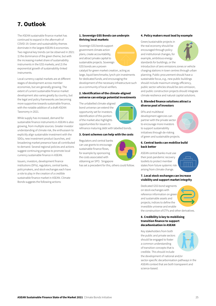# 7. Outlook

The ASEAN sustainable finance market has continued to expand in the aftermath of COVID-19. Green and sustainability themes dominate in the largest ASEAN-6 economies. Two regional key trends can be observed in 2021: 1) the dominance of the green theme, but with the increasing market share of sustainability instruments in the GSS markets; and 2) the exponential growth of sustainability-linked instruments.

Local currency capital markets are at different stages of development across member economies, but are generally growing. The extent of current sustainable finance market development also varies greatly by country, but the legal and policy frameworks are becoming more supportive towards sustainable finance, with the notable addition of a draft ASEAN Taxonomy in 2021.

While supply has increased, demand for sustainable finance instruments in ASEAN is also growing, from multiple sources. Greater investor understanding of climate risk, the enthusiasm to explicitly align sustainable investment with the SDGs, new investment product launches, and broadening market presence have all contributed to demand. Several regional policies and actions suggest continuing progress to promote local currency sustainable finance in ASEAN.

Issuers, investors, development finance institutions (DFIs), regulators, central banks, policymakers, and stock exchanges each have a role to play in the creation of a credible sustainable finance market in ASEAN. Climate Bonds suggests the following actions:

#### 1. Sovereign GSS Bonds can underpin thriving local markets

Sovereign GSS bonds support government climate action plans, create accountability, and attract private capital to sustainable projects. Sovereign GSS bonds are a proven



catalyst for green market creation, acting as large, liquid benchmarks; lynch-pin investments for dedicated funds; and encouraging the development of the necessary infrastructure such as a community of local verifiers.

#### 2. Identification of the climate-aligned universe can enlarge potential investments

The unlabelled climate-aligned bond universe can extend the opportunity set for investors. Identification of this portion of the market also highlights opportunities for issuers to

refinance maturing debt with labelled bonds.

#### 3. Grant schemes can help with the costs

Regulators and central banks can use grants to encourage sustainable finance flows, for example by sponsoring the costs associated with obtaining an SPO. Singapore



has set a precedent for this, others could follow.

#### 4. Policy makers must lead by example

Green/sustainable projects in the real economy should be encouraged through policy and institutional changes, for example, ambitious energy standards for buildings, or the



introduction of zero emissions zones or vehicle charging stations in town centres through urban planning. Public procurement should have a sustainable focus, e.g., new public buildings should include maximum energy efficiency, public sector vehicles should be zero emission, and public construction projects should integrate climate resilience and natural capital solutions.

#### 5. Blended finance solutions attract a diverse pool of investors

DFIs and multilteral development agencies can partner with the private sector to encourage more investors to support sustainability initiatives through de-risking of green and sustainable projects.



#### 6. Central banks can mobilise build back better

ASEAN central banks must use their post-pandemic recovery toolkits to protect member states from future systemic risk arising from climate change.



#### 7. Local stock exchanges can increase visibility and support market integrity

Dedicated GSS bond segments on stock exchanges with reference information on green and sustainable assets and projects; indices to define the investible universe and enable



the construction of ETFs and other derivatives.

#### 8. Credibility is key to mobilising transition finance to support decarbonisation in ASEAN

Key stakeholders from both the public and private sectors should be engaged to foster a common understanding of transition concepts that is credible. This should include the development of national and/or sector-specific decarbonisation pathways in the ASEAN context that are both transparent and science-based.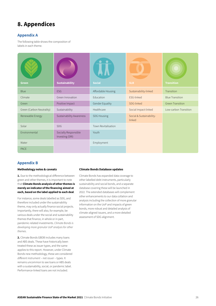## 8. Appendices

#### Appendix A

The following table shows the composition of labels in each theme.

| <b>Green</b>              | <b>Sustainability</b>                   | <b>Social</b>       | <b>SLB</b>                         | <b>Transition</b>       |
|---------------------------|-----------------------------------------|---------------------|------------------------------------|-------------------------|
| <b>Blue</b>               | <b>ESG</b>                              | Affordable Housing  | Sustainability-linked              | Transition              |
| Climate                   | Green Innovation                        | Education           | ESG-linked                         | <b>Blue Transition</b>  |
| Green                     | Positive Impact                         | Gender Equality     | SDG-linked                         | <b>Green Transition</b> |
| Green (Carbon Neutrality) | Sustainability                          | Healthcare          | Social Impact-linked               | Low-carbon Transition   |
| Renewable Energy          | Sustainability Awareness                | <b>SDG Housing</b>  | Social & Sustainability-<br>linked |                         |
| Solar                     | <b>SDG</b>                              | Town Revitalisation |                                    |                         |
| Environmental             | Socially Responsible<br>Investing (SRI) | Youth               |                                    |                         |
| Water                     |                                         | Employment          |                                    |                         |
| <b>PACE</b>               |                                         |                     |                                    |                         |

#### Appendix B

#### Methodology notes & caveats

1. Due to the methodological difference between green and other themes, it is important to note that Climate Bonds analysis of other themes is merely an indicator of the financing aimed at each, based on the label applied to each deal.

For instance, some deals labelled as SDG, and therefore included under the sustainability theme, may only actually finance social projects. Importantly, there will also, for example, be various deals under the social and sustainability themes that finance, in whole or in part, pandemic-related investments. *Climate Bonds is developing more granular UoP analysis for other themes*.

2. Climate Bonds GBDB includes many loans and ABS deals. These have historically been treated these as issuer types, and the same applies to this report. However, under Climate Bonds new methodology, these are considered *different instrument* – not *issuer* – types. It remains uncommon to see loans or ABS deals with a sustainability, social, or pandemic label. Performance-linked loans are not included.

#### Climate Bonds Database updates

Climate Bonds has expanded data coverage to other labelled debt instruments, particularly sustainability and social bonds, and a separate database covering these will be launched in 2022. The extended databases will complement other enhancements to our data collation and analysis including the collection of more granular information on the UoP and impacts of green bonds, more robust and detailed analysis of climate-aligned issuers, and a more detailed assessment of SDG alignment.